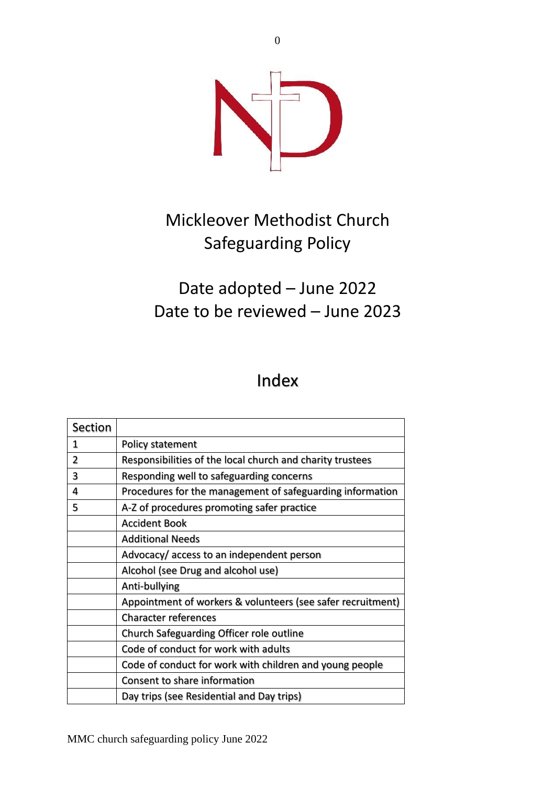

# Mickleover Methodist Church Safeguarding Policy

## Date adopted – June 2022 Date to be reviewed – June 2023

## Index

| Section |                                                             |
|---------|-------------------------------------------------------------|
| 1       | Policy statement                                            |
| 2       | Responsibilities of the local church and charity trustees   |
| 3       | Responding well to safeguarding concerns                    |
| 4       | Procedures for the management of safeguarding information   |
| 5       | A-Z of procedures promoting safer practice                  |
|         | <b>Accident Book</b>                                        |
|         | <b>Additional Needs</b>                                     |
|         | Advocacy/ access to an independent person                   |
|         | Alcohol (see Drug and alcohol use)                          |
|         | Anti-bullying                                               |
|         | Appointment of workers & volunteers (see safer recruitment) |
|         | <b>Character references</b>                                 |
|         | Church Safeguarding Officer role outline                    |
|         | Code of conduct for work with adults                        |
|         | Code of conduct for work with children and young people     |
|         | Consent to share information                                |
|         | Day trips (see Residential and Day trips)                   |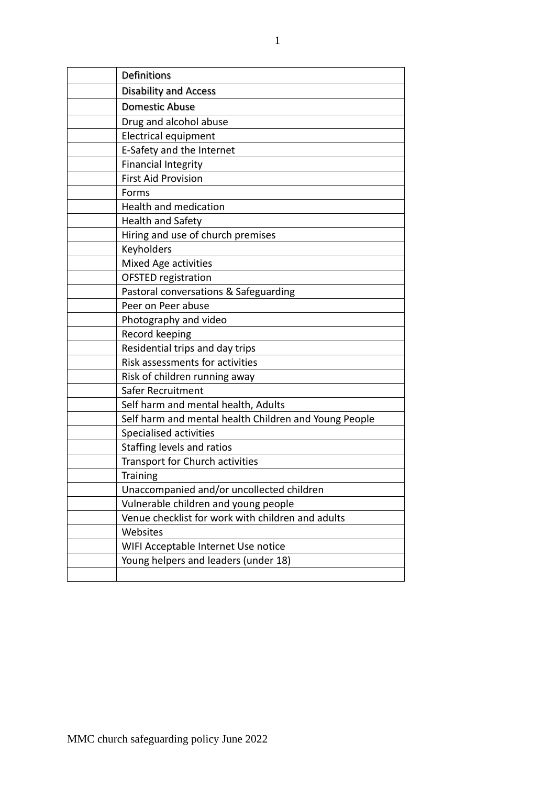| Definitions                                           |
|-------------------------------------------------------|
| <b>Disability and Access</b>                          |
| <b>Domestic Abuse</b>                                 |
| Drug and alcohol abuse                                |
| Electrical equipment                                  |
| E-Safety and the Internet                             |
| <b>Financial Integrity</b>                            |
| <b>First Aid Provision</b>                            |
| Forms                                                 |
| Health and medication                                 |
| <b>Health and Safety</b>                              |
| Hiring and use of church premises                     |
| Keyholders                                            |
| Mixed Age activities                                  |
| <b>OFSTED registration</b>                            |
| Pastoral conversations & Safeguarding                 |
| Peer on Peer abuse                                    |
| Photography and video                                 |
| Record keeping                                        |
| Residential trips and day trips                       |
| Risk assessments for activities                       |
| Risk of children running away                         |
| Safer Recruitment                                     |
| Self harm and mental health, Adults                   |
| Self harm and mental health Children and Young People |
| Specialised activities                                |
| Staffing levels and ratios                            |
| Transport for Church activities                       |
| <b>Training</b>                                       |
| Unaccompanied and/or uncollected children             |
| Vulnerable children and young people                  |
| Venue checklist for work with children and adults     |
| Websites                                              |
| WIFI Acceptable Internet Use notice                   |
| Young helpers and leaders (under 18)                  |
|                                                       |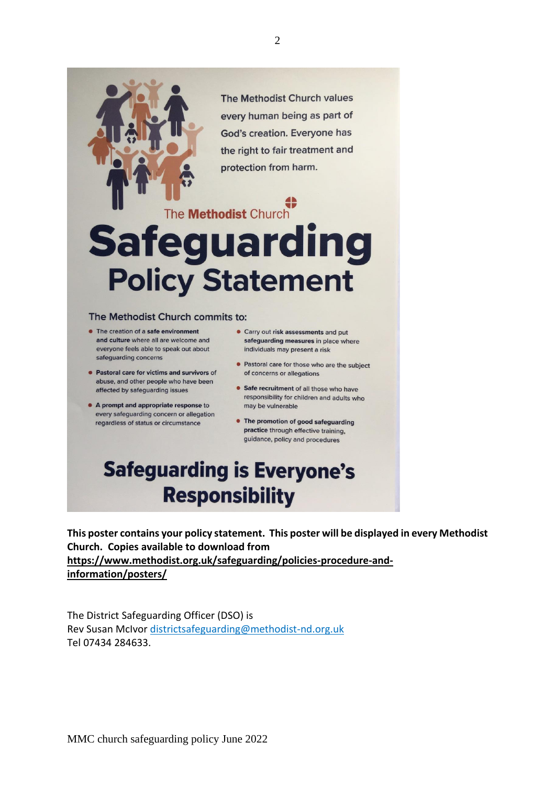The Methodist Church values every human being as part of God's creation. Everyone has the right to fair treatment and protection from harm.

# The Methodist Church **Safeguarding Policy Statement**

#### The Methodist Church commits to:

- The creation of a safe environment and culture where all are welcome and everyone feels able to speak out about safequarding concerns
- Pastoral care for victims and survivors of abuse, and other people who have been affected by safeguarding issues
- A prompt and appropriate response to every safeguarding concern or allegation regardless of status or circumstance
- Carry out risk assessments and put safeguarding measures in place where individuals may present a risk
- Pastoral care for those who are the subject of concerns or allegations
- Safe recruitment of all those who have responsibility for children and adults who may be vulnerable
- The promotion of good safeguarding practice through effective training, guidance, policy and procedures

# **Safeguarding is Everyone's Responsibility**

**This poster contains your policy statement. This poster will be displayed in every Methodist Church. Copies available to download from [https://www.methodist.org.uk/safeguarding/policies-procedure-and](about:blank)[information/posters/](about:blank)**

The District Safeguarding Officer (DSO) is Rev Susan McIvor [districtsafeguarding@methodist-nd.org.uk](about:blank)  Tel 07434 284633.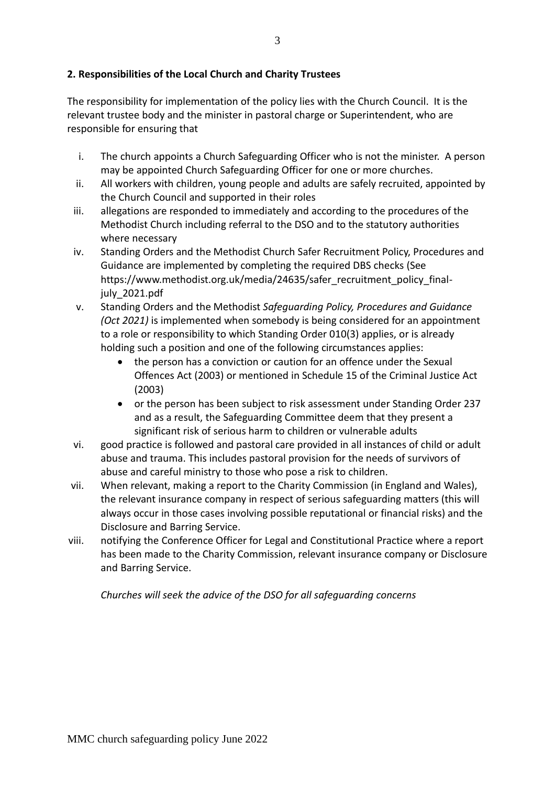#### **2. Responsibilities of the Local Church and Charity Trustees**

The responsibility for implementation of the policy lies with the Church Council. It is the relevant trustee body and the minister in pastoral charge or Superintendent, who are responsible for ensuring that

- i. The church appoints a Church Safeguarding Officer who is not the minister. A person may be appointed Church Safeguarding Officer for one or more churches.
- ii. All workers with children, young people and adults are safely recruited, appointed by the Church Council and supported in their roles
- iii. allegations are responded to immediately and according to the procedures of the Methodist Church including referral to the DSO and to the statutory authorities where necessary
- iv. Standing Orders and the Methodist Church Safer Recruitment Policy, Procedures and Guidance are implemented by completing the required DBS checks (See https://www.methodist.org.uk/media/24635/safer\_recruitment\_policy\_finaljuly\_2021.pdf
- v. Standing Orders and the Methodist *Safeguarding Policy, Procedures and Guidance (Oct 2021)* is implemented when somebody is being considered for an appointment to a role or responsibility to which Standing Order 010(3) applies, or is already holding such a position and one of the following circumstances applies:
	- the person has a conviction or caution for an offence under the Sexual Offences Act (2003) or mentioned in Schedule 15 of the Criminal Justice Act (2003)
	- or the person has been subject to risk assessment under Standing Order 237 and as a result, the Safeguarding Committee deem that they present a significant risk of serious harm to children or vulnerable adults
- vi. good practice is followed and pastoral care provided in all instances of child or adult abuse and trauma. This includes pastoral provision for the needs of survivors of abuse and careful ministry to those who pose a risk to children.
- vii. When relevant, making a report to the Charity Commission (in England and Wales), the relevant insurance company in respect of serious safeguarding matters (this will always occur in those cases involving possible reputational or financial risks) and the Disclosure and Barring Service.
- viii. notifying the Conference Officer for Legal and Constitutional Practice where a report has been made to the Charity Commission, relevant insurance company or Disclosure and Barring Service.

*Churches will seek the advice of the DSO for all safeguarding concerns*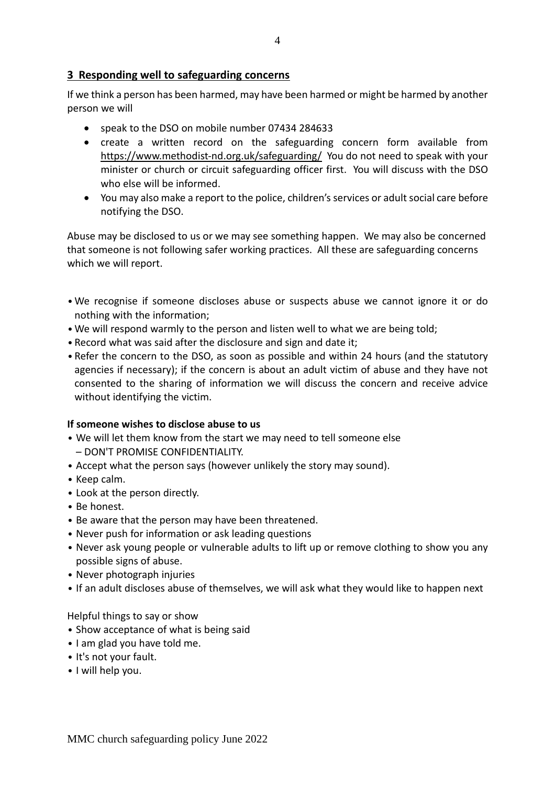#### **3 Responding well to safeguarding concerns**

If we think a person has been harmed, may have been harmed or might be harmed by another person we will

- speak to the DSO on mobile number 07434 284633
- create a written record on the safeguarding concern form available from [https://www.methodist-nd.org.uk/safeguarding/](about:blank) You do not need to speak with your minister or church or circuit safeguarding officer first. You will discuss with the DSO who else will be informed.
- You may also make a report to the police, children's services or adult social care before notifying the DSO.

Abuse may be disclosed to us or we may see something happen. We may also be concerned that someone is not following safer working practices. All these are safeguarding concerns which we will report.

- •We recognise if someone discloses abuse or suspects abuse we cannot ignore it or do nothing with the information;
- •We will respond warmly to the person and listen well to what we are being told;
- Record what was said after the disclosure and sign and date it;
- Refer the concern to the DSO, as soon as possible and within 24 hours (and the statutory agencies if necessary); if the concern is about an adult victim of abuse and they have not consented to the sharing of information we will discuss the concern and receive advice without identifying the victim.

#### **If someone wishes to disclose abuse to us**

- We will let them know from the start we may need to tell someone else – DON'T PROMISE CONFIDENTIALITY.
- Accept what the person says (however unlikely the story may sound).
- Keep calm.
- Look at the person directly.
- Be honest.
- Be aware that the person may have been threatened.
- Never push for information or ask leading questions
- Never ask young people or vulnerable adults to lift up or remove clothing to show you any possible signs of abuse.
- Never photograph injuries
- If an adult discloses abuse of themselves, we will ask what they would like to happen next

#### Helpful things to say or show

- Show acceptance of what is being said
- I am glad you have told me.
- It's not your fault.
- I will help you.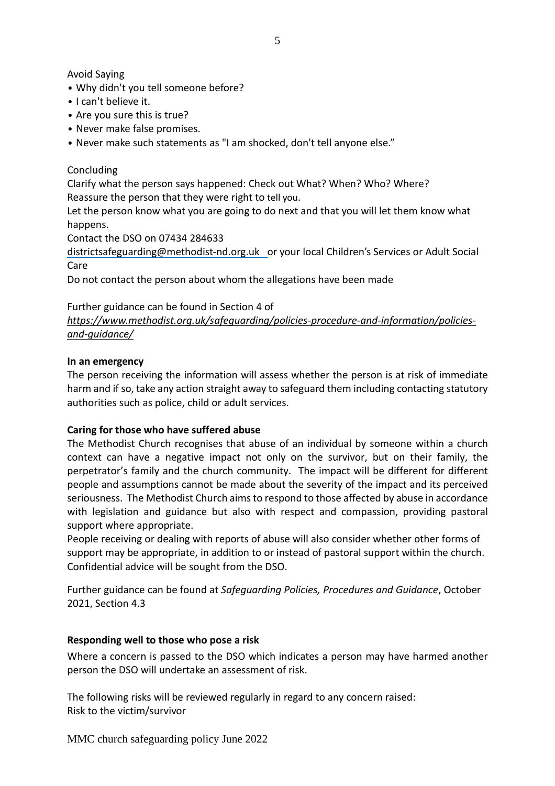Avoid Saying

- Why didn't you tell someone before?
- I can't believe it.
- Are you sure this is true?
- Never make false promises.
- Never make such statements as "I am shocked, don't tell anyone else."

Concluding

Clarify what the person says happened: Check out What? When? Who? Where? Reassure the person that they were right to tell you.

Let the person know what you are going to do next and that you will let them know what happens.

Contact the DSO on 07434 284633

[districtsafeguarding@methodist-nd.org.uk](about:blank) or your local Children's Services or Adult Social Care

Do not contact the person about whom the allegations have been made

Further guidance can be found in Section 4 of

*[https://www.methodist.org.uk/safeguarding/policies-procedure-and-information/policies](about:blank)[and-guidance/](about:blank)*

#### **In an emergency**

The person receiving the information will assess whether the person is at risk of immediate harm and if so, take any action straight away to safeguard them including contacting statutory authorities such as police, child or adult services.

#### **Caring for those who have suffered abuse**

The Methodist Church recognises that abuse of an individual by someone within a church context can have a negative impact not only on the survivor, but on their family, the perpetrator's family and the church community. The impact will be different for different people and assumptions cannot be made about the severity of the impact and its perceived seriousness. The Methodist Church aimsto respond to those affected by abuse in accordance with legislation and guidance but also with respect and compassion, providing pastoral support where appropriate.

People receiving or dealing with reports of abuse will also consider whether other forms of support may be appropriate, in addition to or instead of pastoral support within the church. Confidential advice will be sought from the DSO.

Further guidance can be found at *Safeguarding Policies, Procedures and Guidance*, October 2021, Section 4.3

#### **Responding well to those who pose a risk**

Where a concern is passed to the DSO which indicates a person may have harmed another person the DSO will undertake an assessment of risk.

The following risks will be reviewed regularly in regard to any concern raised: Risk to the victim/survivor

MMC church safeguarding policy June 2022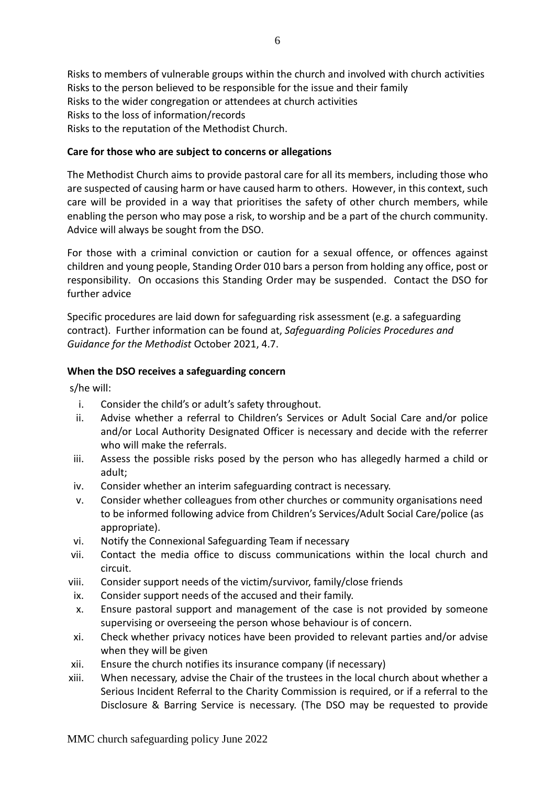Risks to members of vulnerable groups within the church and involved with church activities Risks to the person believed to be responsible for the issue and their family Risks to the wider congregation or attendees at church activities Risks to the loss of information/records Risks to the reputation of the Methodist Church.

#### **Care for those who are subject to concerns or allegations**

The Methodist Church aims to provide pastoral care for all its members, including those who are suspected of causing harm or have caused harm to others. However, in this context, such care will be provided in a way that prioritises the safety of other church members, while enabling the person who may pose a risk, to worship and be a part of the church community. Advice will always be sought from the DSO.

For those with a criminal conviction or caution for a sexual offence, or offences against children and young people, Standing Order 010 bars a person from holding any office, post or responsibility. On occasions this Standing Order may be suspended. Contact the DSO for further advice

Specific procedures are laid down for safeguarding risk assessment (e.g. a safeguarding contract). Further information can be found at, *Safeguarding Policies Procedures and Guidance for the Methodist* October 2021, 4.7.

#### **When the DSO receives a safeguarding concern**

s/he will:

- i. Consider the child's or adult's safety throughout.
- ii. Advise whether a referral to Children's Services or Adult Social Care and/or police and/or Local Authority Designated Officer is necessary and decide with the referrer who will make the referrals.
- iii. Assess the possible risks posed by the person who has allegedly harmed a child or adult;
- iv. Consider whether an interim safeguarding contract is necessary.
- v. Consider whether colleagues from other churches or community organisations need to be informed following advice from Children's Services/Adult Social Care/police (as appropriate).
- vi. Notify the Connexional Safeguarding Team if necessary
- vii. Contact the media office to discuss communications within the local church and circuit.
- viii. Consider support needs of the victim/survivor, family/close friends
- ix. Consider support needs of the accused and their family.
- x. Ensure pastoral support and management of the case is not provided by someone supervising or overseeing the person whose behaviour is of concern.
- xi. Check whether privacy notices have been provided to relevant parties and/or advise when they will be given
- xii. Ensure the church notifies its insurance company (if necessary)
- xiii. When necessary, advise the Chair of the trustees in the local church about whether a Serious Incident Referral to the Charity Commission is required, or if a referral to the Disclosure & Barring Service is necessary. (The DSO may be requested to provide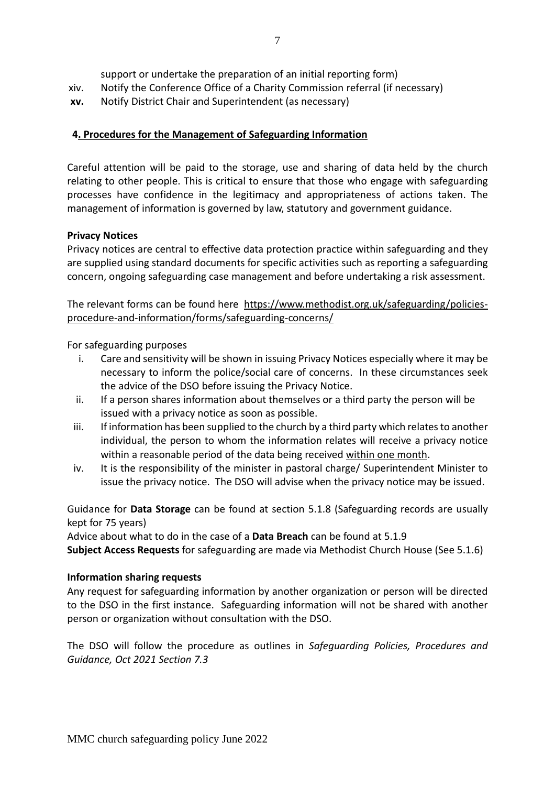support or undertake the preparation of an initial reporting form)

- xiv. Notify the Conference Office of a Charity Commission referral (if necessary)
- **xv.** Notify District Chair and Superintendent (as necessary)

#### **4. Procedures for the Management of Safeguarding Information**

Careful attention will be paid to the storage, use and sharing of data held by the church relating to other people. This is critical to ensure that those who engage with safeguarding processes have confidence in the legitimacy and appropriateness of actions taken. The management of information is governed by law, statutory and government guidance.

#### **Privacy Notices**

Privacy notices are central to effective data protection practice within safeguarding and they are supplied using standard documents for specific activities such as reporting a safeguarding concern, ongoing safeguarding case management and before undertaking a risk assessment.

The relevant forms can be found here https://www.methodist.org.uk/safeguarding/policiesprocedure-and-information/forms/safeguarding-concerns/

For safeguarding purposes

- i. Care and sensitivity will be shown in issuing Privacy Notices especially where it may be necessary to inform the police/social care of concerns. In these circumstances seek the advice of the DSO before issuing the Privacy Notice.
- ii. If a person shares information about themselves or a third party the person will be issued with a privacy notice as soon as possible.
- iii. If information has been supplied to the church by a third party which relates to another individual, the person to whom the information relates will receive a privacy notice within a reasonable period of the data being received within one month.
- iv. It is the responsibility of the minister in pastoral charge/ Superintendent Minister to issue the privacy notice. The DSO will advise when the privacy notice may be issued.

Guidance for **Data Storage** can be found at section 5.1.8 (Safeguarding records are usually kept for 75 years)

Advice about what to do in the case of a **Data Breach** can be found at 5.1.9

**Subject Access Requests** for safeguarding are made via Methodist Church House (See 5.1.6)

#### **Information sharing requests**

Any request for safeguarding information by another organization or person will be directed to the DSO in the first instance. Safeguarding information will not be shared with another person or organization without consultation with the DSO.

The DSO will follow the procedure as outlines in *Safeguarding Policies, Procedures and Guidance, Oct 2021 Section 7.3*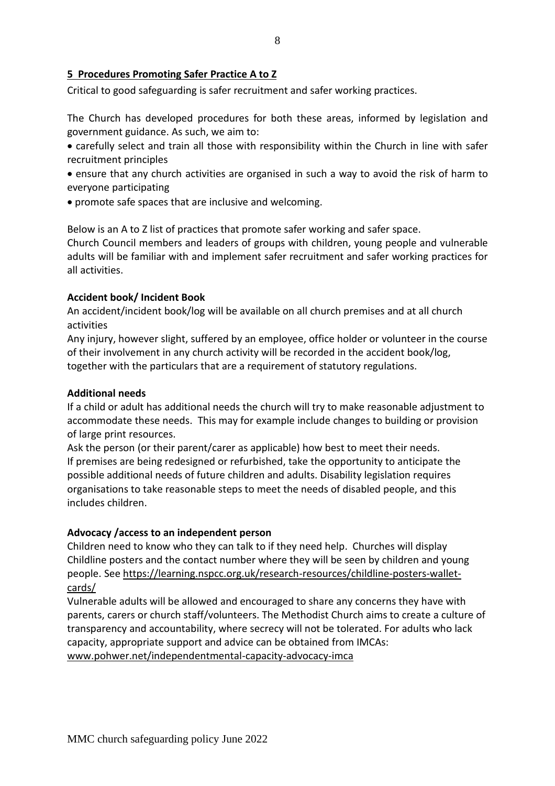#### **5 Procedures Promoting Safer Practice A to Z**

Critical to good safeguarding is safer recruitment and safer working practices.

The Church has developed procedures for both these areas, informed by legislation and government guidance. As such, we aim to:

• carefully select and train all those with responsibility within the Church in line with safer recruitment principles

- ensure that any church activities are organised in such a way to avoid the risk of harm to everyone participating
- promote safe spaces that are inclusive and welcoming.

Below is an A to Z list of practices that promote safer working and safer space.

Church Council members and leaders of groups with children, young people and vulnerable adults will be familiar with and implement safer recruitment and safer working practices for all activities.

#### **Accident book/ Incident Book**

An accident/incident book/log will be available on all church premises and at all church activities

Any injury, however slight, suffered by an employee, office holder or volunteer in the course of their involvement in any church activity will be recorded in the accident book/log, together with the particulars that are a requirement of statutory regulations.

#### **Additional needs**

If a child or adult has additional needs the church will try to make reasonable adjustment to accommodate these needs. This may for example include changes to building or provision of large print resources.

Ask the person (or their parent/carer as applicable) how best to meet their needs. If premises are being redesigned or refurbished, take the opportunity to anticipate the possible additional needs of future children and adults. Disability legislation requires organisations to take reasonable steps to meet the needs of disabled people, and this includes children.

#### **Advocacy /access to an independent person**

Children need to know who they can talk to if they need help. Churches will display Childline posters and the contact number where they will be seen by children and young people. See [https://learning.nspcc.org.uk/research-resources/childline-posters-wallet](about:blank)[cards/](about:blank)

Vulnerable adults will be allowed and encouraged to share any concerns they have with parents, carers or church staff/volunteers. The Methodist Church aims to create a culture of transparency and accountability, where secrecy will not be tolerated. For adults who lack capacity, appropriate support and advice can be obtained from IMCAs: [www.pohwer.net/independentmental-capacity-advocacy-imca](about:blank)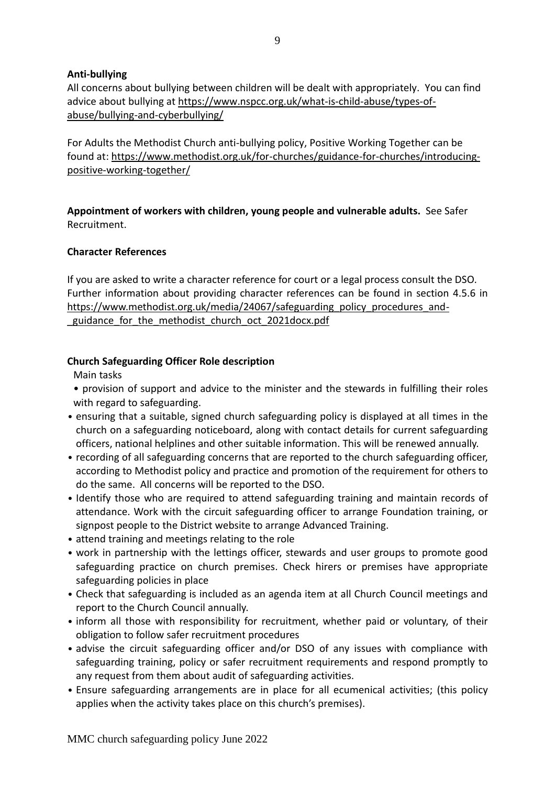#### **Anti-bullying**

All concerns about bullying between children will be dealt with appropriately. You can find advice about bullying at [https://www.nspcc.org.uk/what-is-child-abuse/types-of](about:blank)[abuse/bullying-and-cyberbullying/](about:blank)

For Adults the Methodist Church anti-bullying policy, Positive Working Together can be found at: [https://www.methodist.org.uk/for-churches/guidance-for-churches/introducing](about:blank)[positive-working-together/](about:blank)

**Appointment of workers with children, young people and vulnerable adults.** See Safer Recruitment.

#### **Character References**

If you are asked to write a character reference for court or a legal process consult the DSO. Further information about providing character references can be found in section 4.5.6 in [https://www.methodist.org.uk/media/24067/safeguarding\\_policy\\_procedures\\_and](about:blank) guidance for the methodist church oct 2021docx.pdf

#### **Church Safeguarding Officer Role description**

Main tasks

- provision of support and advice to the minister and the stewards in fulfilling their roles with regard to safeguarding.
- ensuring that a suitable, signed church safeguarding policy is displayed at all times in the church on a safeguarding noticeboard, along with contact details for current safeguarding officers, national helplines and other suitable information. This will be renewed annually.
- recording of all safeguarding concerns that are reported to the church safeguarding officer, according to Methodist policy and practice and promotion of the requirement for others to do the same. All concerns will be reported to the DSO.
- Identify those who are required to attend safeguarding training and maintain records of attendance. Work with the circuit safeguarding officer to arrange Foundation training, or signpost people to the District website to arrange Advanced Training.
- attend training and meetings relating to the role
- work in partnership with the lettings officer, stewards and user groups to promote good safeguarding practice on church premises. Check hirers or premises have appropriate safeguarding policies in place
- Check that safeguarding is included as an agenda item at all Church Council meetings and report to the Church Council annually.
- inform all those with responsibility for recruitment, whether paid or voluntary, of their obligation to follow safer recruitment procedures
- advise the circuit safeguarding officer and/or DSO of any issues with compliance with safeguarding training, policy or safer recruitment requirements and respond promptly to any request from them about audit of safeguarding activities.
- Ensure safeguarding arrangements are in place for all ecumenical activities; (this policy applies when the activity takes place on this church's premises).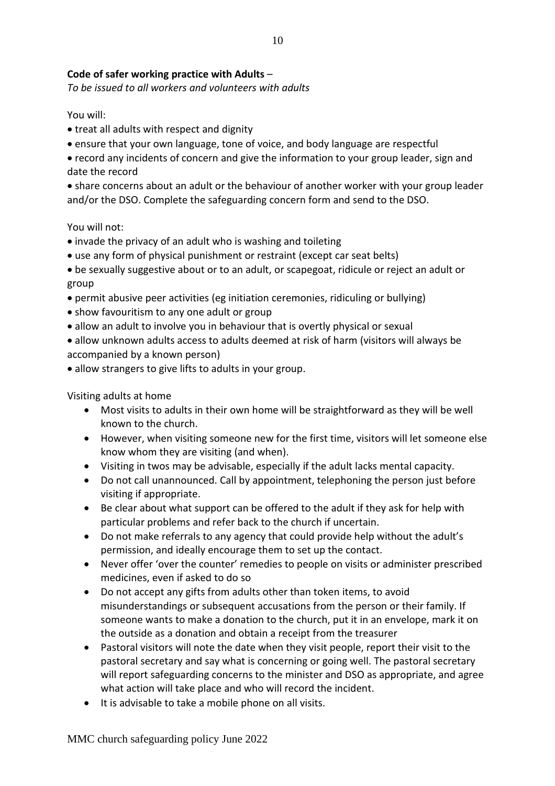#### **Code of safer working practice with Adults** –

*To be issued to all workers and volunteers with adults*

You will:

- treat all adults with respect and dignity
- ensure that your own language, tone of voice, and body language are respectful
- record any incidents of concern and give the information to your group leader, sign and date the record

• share concerns about an adult or the behaviour of another worker with your group leader and/or the DSO. Complete the safeguarding concern form and send to the DSO.

You will not:

- invade the privacy of an adult who is washing and toileting
- use any form of physical punishment or restraint (except car seat belts)
- be sexually suggestive about or to an adult, or scapegoat, ridicule or reject an adult or group
- permit abusive peer activities (eg initiation ceremonies, ridiculing or bullying)
- show favouritism to any one adult or group
- allow an adult to involve you in behaviour that is overtly physical or sexual
- allow unknown adults access to adults deemed at risk of harm (visitors will always be accompanied by a known person)
- allow strangers to give lifts to adults in your group.

Visiting adults at home

- Most visits to adults in their own home will be straightforward as they will be well known to the church.
- However, when visiting someone new for the first time, visitors will let someone else know whom they are visiting (and when).
- Visiting in twos may be advisable, especially if the adult lacks mental capacity.
- Do not call unannounced. Call by appointment, telephoning the person just before visiting if appropriate.
- Be clear about what support can be offered to the adult if they ask for help with particular problems and refer back to the church if uncertain.
- Do not make referrals to any agency that could provide help without the adult's permission, and ideally encourage them to set up the contact.
- Never offer 'over the counter' remedies to people on visits or administer prescribed medicines, even if asked to do so
- Do not accept any gifts from adults other than token items, to avoid misunderstandings or subsequent accusations from the person or their family. If someone wants to make a donation to the church, put it in an envelope, mark it on the outside as a donation and obtain a receipt from the treasurer
- Pastoral visitors will note the date when they visit people, report their visit to the pastoral secretary and say what is concerning or going well. The pastoral secretary will report safeguarding concerns to the minister and DSO as appropriate, and agree what action will take place and who will record the incident.
- It is advisable to take a mobile phone on all visits.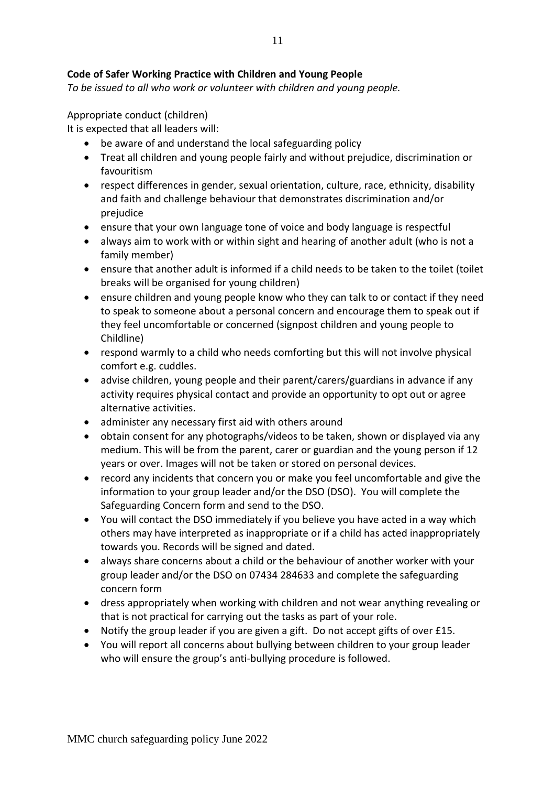*To be issued to all who work or volunteer with children and young people.*

Appropriate conduct (children)

It is expected that all leaders will:

- be aware of and understand the local safeguarding policy
- Treat all children and young people fairly and without prejudice, discrimination or favouritism
- respect differences in gender, sexual orientation, culture, race, ethnicity, disability and faith and challenge behaviour that demonstrates discrimination and/or prejudice
- ensure that your own language tone of voice and body language is respectful
- always aim to work with or within sight and hearing of another adult (who is not a family member)
- ensure that another adult is informed if a child needs to be taken to the toilet (toilet breaks will be organised for young children)
- ensure children and young people know who they can talk to or contact if they need to speak to someone about a personal concern and encourage them to speak out if they feel uncomfortable or concerned (signpost children and young people to Childline)
- respond warmly to a child who needs comforting but this will not involve physical comfort e.g. cuddles.
- advise children, young people and their parent/carers/guardians in advance if any activity requires physical contact and provide an opportunity to opt out or agree alternative activities.
- administer any necessary first aid with others around
- obtain consent for any photographs/videos to be taken, shown or displayed via any medium. This will be from the parent, carer or guardian and the young person if 12 years or over. Images will not be taken or stored on personal devices.
- record any incidents that concern you or make you feel uncomfortable and give the information to your group leader and/or the DSO (DSO). You will complete the Safeguarding Concern form and send to the DSO.
- You will contact the DSO immediately if you believe you have acted in a way which others may have interpreted as inappropriate or if a child has acted inappropriately towards you. Records will be signed and dated.
- always share concerns about a child or the behaviour of another worker with your group leader and/or the DSO on 07434 284633 and complete the safeguarding concern form
- dress appropriately when working with children and not wear anything revealing or that is not practical for carrying out the tasks as part of your role.
- Notify the group leader if you are given a gift. Do not accept gifts of over £15.
- You will report all concerns about bullying between children to your group leader who will ensure the group's anti-bullying procedure is followed.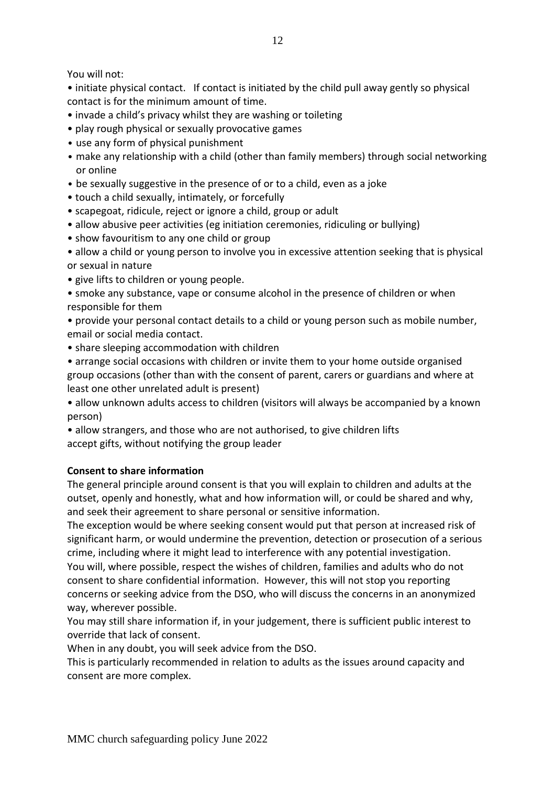You will not:

• initiate physical contact. If contact is initiated by the child pull away gently so physical contact is for the minimum amount of time.

- invade a child's privacy whilst they are washing or toileting
- play rough physical or sexually provocative games
- use any form of physical punishment
- make any relationship with a child (other than family members) through social networking or online
- be sexually suggestive in the presence of or to a child, even as a joke
- touch a child sexually, intimately, or forcefully
- scapegoat, ridicule, reject or ignore a child, group or adult
- allow abusive peer activities (eg initiation ceremonies, ridiculing or bullying)
- show favouritism to any one child or group
- allow a child or young person to involve you in excessive attention seeking that is physical or sexual in nature
- give lifts to children or young people.
- smoke any substance, vape or consume alcohol in the presence of children or when responsible for them
- provide your personal contact details to a child or young person such as mobile number, email or social media contact.
- share sleeping accommodation with children
- arrange social occasions with children or invite them to your home outside organised group occasions (other than with the consent of parent, carers or guardians and where at least one other unrelated adult is present)
- allow unknown adults access to children (visitors will always be accompanied by a known person)
- allow strangers, and those who are not authorised, to give children lifts accept gifts, without notifying the group leader

#### **Consent to share information**

The general principle around consent is that you will explain to children and adults at the outset, openly and honestly, what and how information will, or could be shared and why, and seek their agreement to share personal or sensitive information.

The exception would be where seeking consent would put that person at increased risk of significant harm, or would undermine the prevention, detection or prosecution of a serious crime, including where it might lead to interference with any potential investigation. You will, where possible, respect the wishes of children, families and adults who do not consent to share confidential information. However, this will not stop you reporting concerns or seeking advice from the DSO, who will discuss the concerns in an anonymized way, wherever possible.

You may still share information if, in your judgement, there is sufficient public interest to override that lack of consent.

When in any doubt, you will seek advice from the DSO.

This is particularly recommended in relation to adults as the issues around capacity and consent are more complex.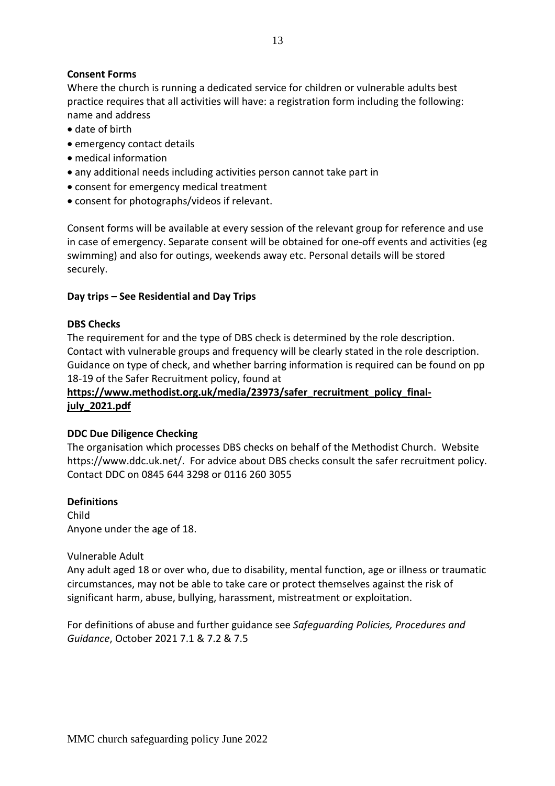#### **Consent Forms**

Where the church is running a dedicated service for children or vulnerable adults best practice requires that all activities will have: a registration form including the following: name and address

- date of birth
- emergency contact details
- medical information
- any additional needs including activities person cannot take part in
- consent for emergency medical treatment
- consent for photographs/videos if relevant.

Consent forms will be available at every session of the relevant group for reference and use in case of emergency. Separate consent will be obtained for one-off events and activities (eg swimming) and also for outings, weekends away etc. Personal details will be stored securely.

#### **Day trips – See Residential and Day Trips**

#### **DBS Checks**

The requirement for and the type of DBS check is determined by the role description. Contact with vulnerable groups and frequency will be clearly stated in the role description. Guidance on type of check, and whether barring information is required can be found on pp 18-19 of the Safer Recruitment policy, found at

#### [https://www.methodist.org.uk/media/23973/safer\\_recruitment\\_policy\\_final](about:blank)**[july\\_2021.pdf](about:blank)**

#### **DDC Due Diligence Checking**

The organisation which processes DBS checks on behalf of the Methodist Church. Website https://www.ddc.uk.net/. For advice about DBS checks consult the safer recruitment policy. Contact DDC on 0845 644 3298 or 0116 260 3055

#### **Definitions**

Child Anyone under the age of 18.

#### Vulnerable Adult

Any adult aged 18 or over who, due to disability, mental function, age or illness or traumatic circumstances, may not be able to take care or protect themselves against the risk of significant harm, abuse, bullying, harassment, mistreatment or exploitation.

For definitions of abuse and further guidance see *Safeguarding Policies, Procedures and Guidance*, October 2021 7.1 & 7.2 & 7.5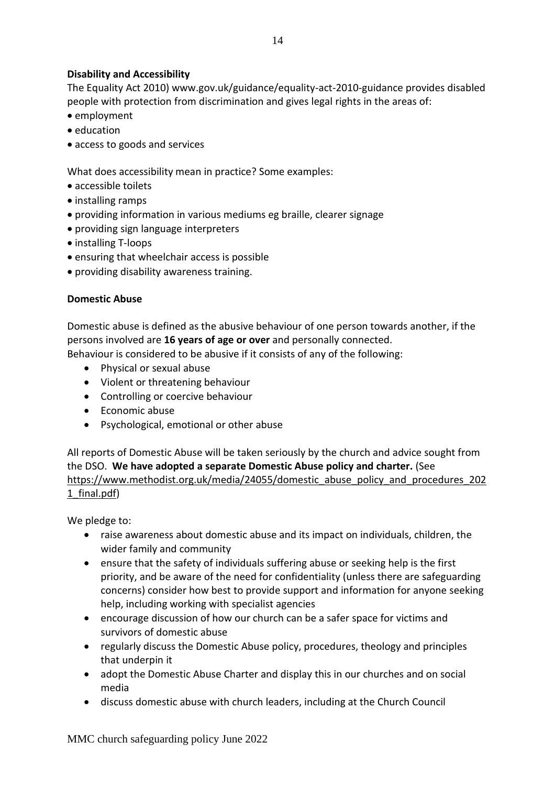#### **Disability and Accessibility**

The Equality Act 2010) www.gov.uk/guidance/equality-act-2010-guidance provides disabled people with protection from discrimination and gives legal rights in the areas of:

- employment
- education
- access to goods and services

What does accessibility mean in practice? Some examples:

- accessible toilets
- installing ramps
- providing information in various mediums eg braille, clearer signage
- providing sign language interpreters
- installing T-loops
- ensuring that wheelchair access is possible
- providing disability awareness training.

#### **Domestic Abuse**

Domestic abuse is defined as the abusive behaviour of one person towards another, if the persons involved are **16 years of age or over** and personally connected.

Behaviour is considered to be abusive if it consists of any of the following:

- Physical or sexual abuse
- Violent or threatening behaviour
- Controlling or coercive behaviour
- Economic abuse
- Psychological, emotional or other abuse

All reports of Domestic Abuse will be taken seriously by the church and advice sought from the DSO. **We have adopted a separate Domestic Abuse policy and charter.** (See [https://www.methodist.org.uk/media/24055/domestic\\_abuse\\_policy\\_and\\_procedures\\_202](about:blank) [1\\_final.pdf\)](about:blank)

We pledge to:

- raise awareness about domestic abuse and its impact on individuals, children, the wider family and community
- ensure that the safety of individuals suffering abuse or seeking help is the first priority, and be aware of the need for confidentiality (unless there are safeguarding concerns) consider how best to provide support and information for anyone seeking help, including working with specialist agencies
- encourage discussion of how our church can be a safer space for victims and survivors of domestic abuse
- regularly discuss the Domestic Abuse policy, procedures, theology and principles that underpin it
- adopt the Domestic Abuse Charter and display this in our churches and on social media
- discuss domestic abuse with church leaders, including at the Church Council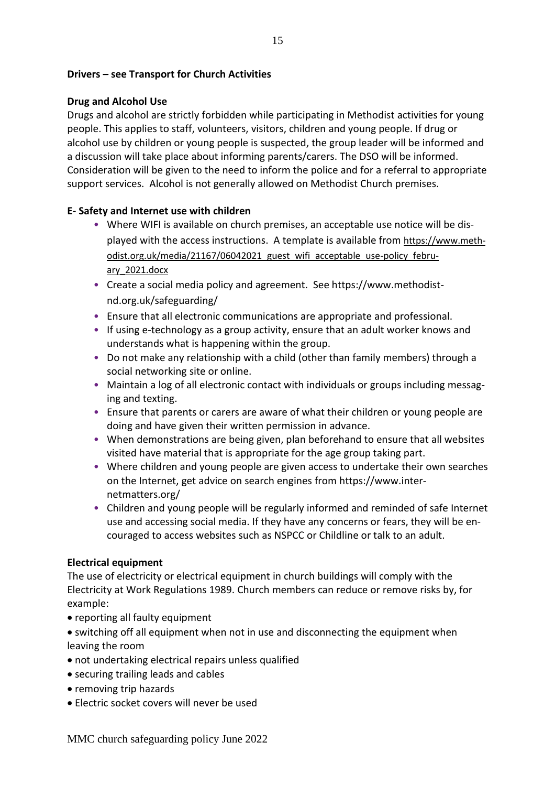#### **Drivers – see Transport for Church Activities**

#### **Drug and Alcohol Use**

Drugs and alcohol are strictly forbidden while participating in Methodist activities for young people. This applies to staff, volunteers, visitors, children and young people. If drug or alcohol use by children or young people is suspected, the group leader will be informed and a discussion will take place about informing parents/carers. The DSO will be informed. Consideration will be given to the need to inform the police and for a referral to appropriate support services. Alcohol is not generally allowed on Methodist Church premises.

#### **E- Safety and Internet use with children**

- Where WIFI is available on church premises, an acceptable use notice will be displayed with the access instructions. A template is available from [https://www.meth](about:blank)[odist.org.uk/media/21167/06042021\\_guest\\_wifi\\_acceptable\\_use-policy\\_febru](about:blank)[ary\\_2021.docx](about:blank)
- Create a social media policy and agreement. See https://www.methodistnd.org.uk/safeguarding/
- Ensure that all electronic communications are appropriate and professional.
- If using e-technology as a group activity, ensure that an adult worker knows and understands what is happening within the group.
- Do not make any relationship with a child (other than family members) through a social networking site or online.
- Maintain a log of all electronic contact with individuals or groups including messaging and texting.
- Ensure that parents or carers are aware of what their children or young people are doing and have given their written permission in advance.
- When demonstrations are being given, plan beforehand to ensure that all websites visited have material that is appropriate for the age group taking part.
- Where children and young people are given access to undertake their own searches on the Internet, get advice on search engines from https://www.internetmatters.org/
- Children and young people will be regularly informed and reminded of safe Internet use and accessing social media. If they have any concerns or fears, they will be encouraged to access websites such as NSPCC or Childline or talk to an adult.

#### **Electrical equipment**

The use of electricity or electrical equipment in church buildings will comply with the Electricity at Work Regulations 1989. Church members can reduce or remove risks by, for example:

- reporting all faulty equipment
- switching off all equipment when not in use and disconnecting the equipment when leaving the room
- not undertaking electrical repairs unless qualified
- securing trailing leads and cables
- removing trip hazards
- Electric socket covers will never be used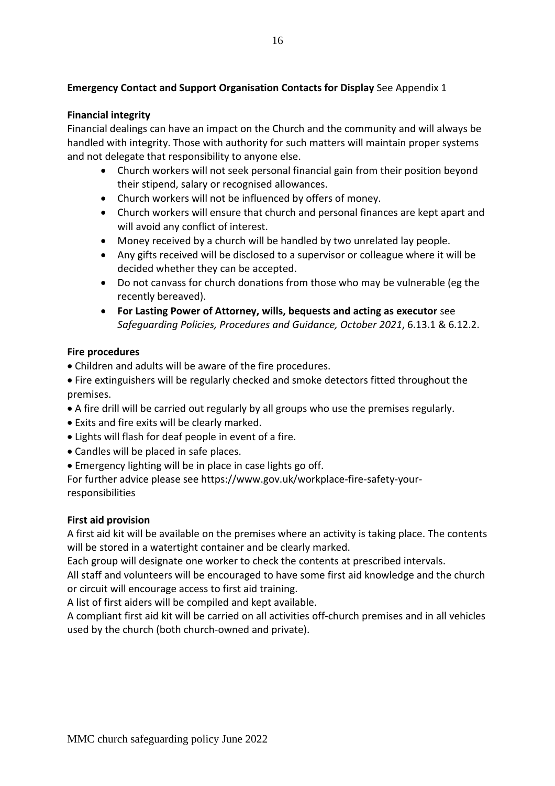#### **Emergency Contact and Support Organisation Contacts for Display** See Appendix 1

#### **Financial integrity**

Financial dealings can have an impact on the Church and the community and will always be handled with integrity. Those with authority for such matters will maintain proper systems and not delegate that responsibility to anyone else.

- Church workers will not seek personal financial gain from their position beyond their stipend, salary or recognised allowances.
- Church workers will not be influenced by offers of money.
- Church workers will ensure that church and personal finances are kept apart and will avoid any conflict of interest.
- Money received by a church will be handled by two unrelated lay people.
- Any gifts received will be disclosed to a supervisor or colleague where it will be decided whether they can be accepted.
- Do not canvass for church donations from those who may be vulnerable (eg the recently bereaved).
- **For Lasting Power of Attorney, wills, bequests and acting as executor** see *Safeguarding Policies, Procedures and Guidance, October 2021*, 6.13.1 & 6.12.2.

#### **Fire procedures**

- Children and adults will be aware of the fire procedures.
- Fire extinguishers will be regularly checked and smoke detectors fitted throughout the premises.
- A fire drill will be carried out regularly by all groups who use the premises regularly.
- Exits and fire exits will be clearly marked.
- Lights will flash for deaf people in event of a fire.
- Candles will be placed in safe places.
- Emergency lighting will be in place in case lights go off.

For further advice please see https://www.gov.uk/workplace-fire-safety-yourresponsibilities

#### **First aid provision**

A first aid kit will be available on the premises where an activity is taking place. The contents will be stored in a watertight container and be clearly marked.

Each group will designate one worker to check the contents at prescribed intervals.

All staff and volunteers will be encouraged to have some first aid knowledge and the church or circuit will encourage access to first aid training.

A list of first aiders will be compiled and kept available.

A compliant first aid kit will be carried on all activities off-church premises and in all vehicles used by the church (both church-owned and private).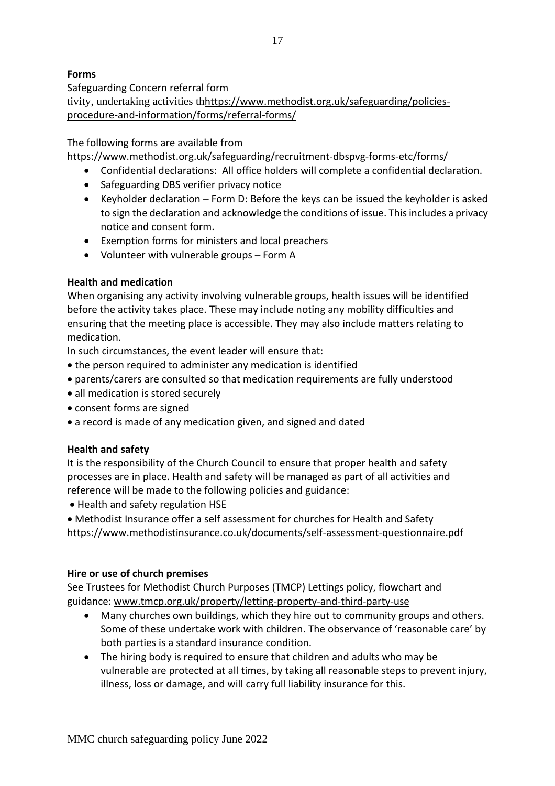#### **Forms**

Safeguarding Concern referral form tivity, undertaking activities thhttps://www.methodist.org.uk/safeguarding/policiesprocedure-and-information/forms/referral-forms/

#### The following forms are available from

https://www.methodist.org.uk/safeguarding/recruitment-dbspvg-forms-etc/forms/

- Confidential declarations: All office holders will complete a confidential declaration.
- Safeguarding DBS verifier privacy notice
- Keyholder declaration Form D: Before the keys can be issued the keyholder is asked to sign the declaration and acknowledge the conditions of issue. This includes a privacy notice and consent form.
- Exemption forms for ministers and local preachers
- Volunteer with vulnerable groups Form A

#### **Health and medication**

When organising any activity involving vulnerable groups, health issues will be identified before the activity takes place. These may include noting any mobility difficulties and ensuring that the meeting place is accessible. They may also include matters relating to medication.

In such circumstances, the event leader will ensure that:

- the person required to administer any medication is identified
- parents/carers are consulted so that medication requirements are fully understood
- all medication is stored securely
- consent forms are signed
- a record is made of any medication given, and signed and dated

#### **Health and safety**

It is the responsibility of the Church Council to ensure that proper health and safety processes are in place. Health and safety will be managed as part of all activities and reference will be made to the following policies and guidance:

• Health and safety regulation HSE

• Methodist Insurance offer a self assessment for churches for Health and Safety https://www.methodistinsurance.co.uk/documents/self-assessment-questionnaire.pdf

#### **Hire or use of church premises**

See Trustees for Methodist Church Purposes (TMCP) Lettings policy, flowchart and guidance: [www.tmcp.org.uk/property/letting-property-and-third-party-use](about:blank)

- Many churches own buildings, which they hire out to community groups and others. Some of these undertake work with children. The observance of 'reasonable care' by both parties is a standard insurance condition.
- The hiring body is required to ensure that children and adults who may be vulnerable are protected at all times, by taking all reasonable steps to prevent injury, illness, loss or damage, and will carry full liability insurance for this.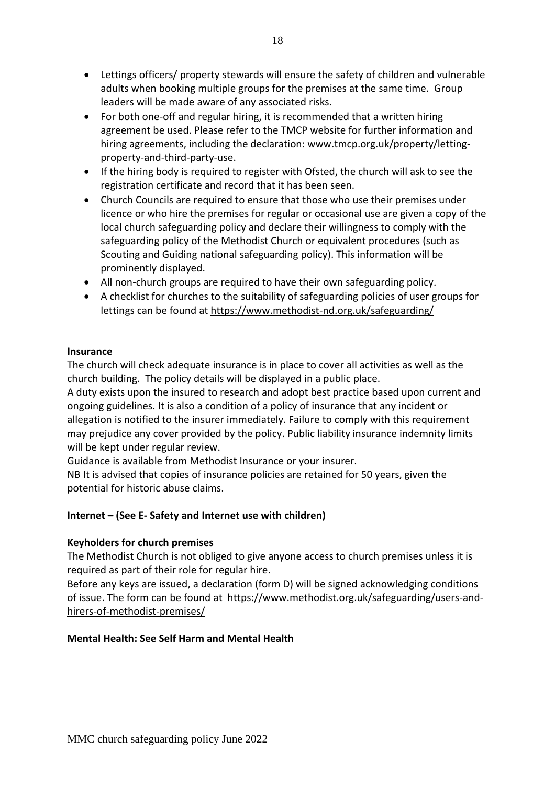- Lettings officers/ property stewards will ensure the safety of children and vulnerable adults when booking multiple groups for the premises at the same time. Group leaders will be made aware of any associated risks.
- For both one-off and regular hiring, it is recommended that a written hiring agreement be used. Please refer to the TMCP website for further information and hiring agreements, including the declaration: www.tmcp.org.uk/property/lettingproperty-and-third-party-use.
- If the hiring body is required to register with Ofsted, the church will ask to see the registration certificate and record that it has been seen.
- Church Councils are required to ensure that those who use their premises under licence or who hire the premises for regular or occasional use are given a copy of the local church safeguarding policy and declare their willingness to comply with the safeguarding policy of the Methodist Church or equivalent procedures (such as Scouting and Guiding national safeguarding policy). This information will be prominently displayed.
- All non-church groups are required to have their own safeguarding policy.
- A checklist for churches to the suitability of safeguarding policies of user groups for lettings can be found at [https://www.methodist-nd.org.uk/safeguarding/](about:blank)

#### **Insurance**

The church will check adequate insurance is in place to cover all activities as well as the church building. The policy details will be displayed in a public place.

A duty exists upon the insured to research and adopt best practice based upon current and ongoing guidelines. It is also a condition of a policy of insurance that any incident or allegation is notified to the insurer immediately. Failure to comply with this requirement may prejudice any cover provided by the policy. Public liability insurance indemnity limits will be kept under regular review.

Guidance is available from Methodist Insurance or your insurer.

NB It is advised that copies of insurance policies are retained for 50 years, given the potential for historic abuse claims.

#### **Internet – (See E- Safety and Internet use with children)**

#### **Keyholders for church premises**

The Methodist Church is not obliged to give anyone access to church premises unless it is required as part of their role for regular hire.

Before any keys are issued, a declaration (form D) will be signed acknowledging conditions of issue. The form can be found at https://www.methodist.org.uk/safeguarding/users-andhirers-of-methodist-premises/

#### **Mental Health: See Self Harm and Mental Health**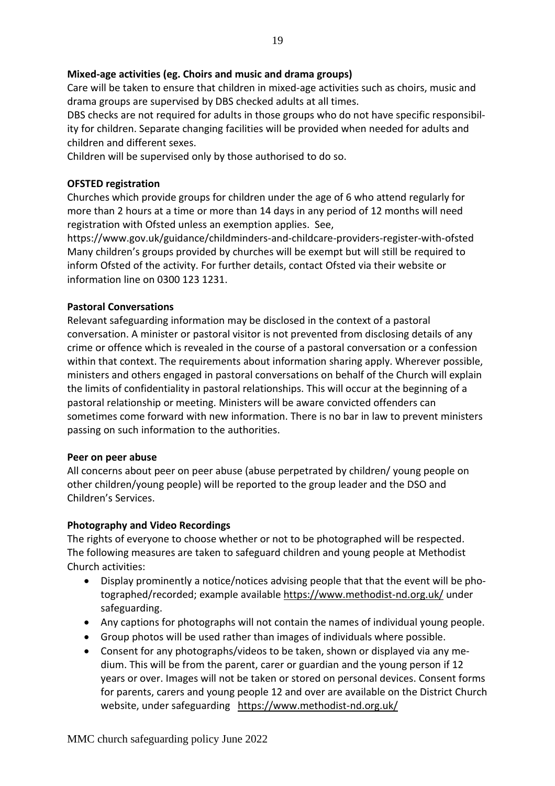#### **Mixed-age activities (eg. Choirs and music and drama groups)**

Care will be taken to ensure that children in mixed-age activities such as choirs, music and drama groups are supervised by DBS checked adults at all times.

DBS checks are not required for adults in those groups who do not have specific responsibility for children. Separate changing facilities will be provided when needed for adults and children and different sexes.

Children will be supervised only by those authorised to do so.

#### **OFSTED registration**

Churches which provide groups for children under the age of 6 who attend regularly for more than 2 hours at a time or more than 14 days in any period of 12 months will need registration with Ofsted unless an exemption applies. See,

https://www.gov.uk/guidance/childminders-and-childcare-providers-register-with-ofsted Many children's groups provided by churches will be exempt but will still be required to inform Ofsted of the activity. For further details, contact Ofsted via their website or information line on 0300 123 1231.

#### **Pastoral Conversations**

Relevant safeguarding information may be disclosed in the context of a pastoral conversation. A minister or pastoral visitor is not prevented from disclosing details of any crime or offence which is revealed in the course of a pastoral conversation or a confession within that context. The requirements about information sharing apply. Wherever possible, ministers and others engaged in pastoral conversations on behalf of the Church will explain the limits of confidentiality in pastoral relationships. This will occur at the beginning of a pastoral relationship or meeting. Ministers will be aware convicted offenders can sometimes come forward with new information. There is no bar in law to prevent ministers passing on such information to the authorities.

#### **Peer on peer abuse**

All concerns about peer on peer abuse (abuse perpetrated by children/ young people on other children/young people) will be reported to the group leader and the DSO and Children's Services.

#### **Photography and Video Recordings**

The rights of everyone to choose whether or not to be photographed will be respected. The following measures are taken to safeguard children and young people at Methodist Church activities:

- Display prominently a notice/notices advising people that that the event will be photographed/recorded; example available [https://www.methodist-nd.org.uk/](about:blank) under safeguarding.
- Any captions for photographs will not contain the names of individual young people.
- Group photos will be used rather than images of individuals where possible.
- Consent for any photographs/videos to be taken, shown or displayed via any medium. This will be from the parent, carer or guardian and the young person if 12 years or over. Images will not be taken or stored on personal devices. Consent forms for parents, carers and young people 12 and over are available on the District Church website, under safeguarding https://www.methodist-nd.org.uk/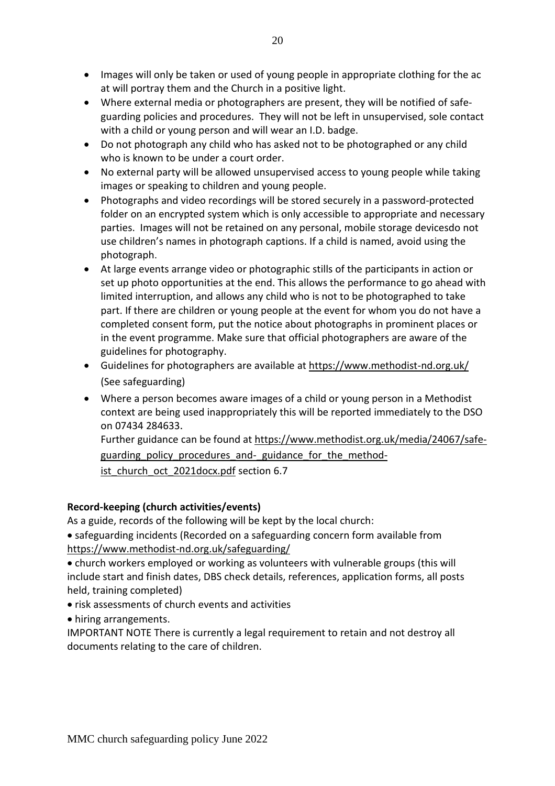- Images will only be taken or used of young people in appropriate clothing for the ac at will portray them and the Church in a positive light.
- Where external media or photographers are present, they will be notified of safeguarding policies and procedures. They will not be left in unsupervised, sole contact with a child or young person and will wear an I.D. badge.
- Do not photograph any child who has asked not to be photographed or any child who is known to be under a court order.
- No external party will be allowed unsupervised access to young people while taking images or speaking to children and young people.
- Photographs and video recordings will be stored securely in a password-protected folder on an encrypted system which is only accessible to appropriate and necessary parties. Images will not be retained on any personal, mobile storage devicesdo not use children's names in photograph captions. If a child is named, avoid using the photograph.
- At large events arrange video or photographic stills of the participants in action or set up photo opportunities at the end. This allows the performance to go ahead with limited interruption, and allows any child who is not to be photographed to take part. If there are children or young people at the event for whom you do not have a completed consent form, put the notice about photographs in prominent places or in the event programme. Make sure that official photographers are aware of the guidelines for photography.
- Guidelines for photographers are available at [https://www.methodist-nd.org.uk/](about:blank) (See safeguarding)
- Where a person becomes aware images of a child or young person in a Methodist context are being used inappropriately this will be reported immediately to the DSO on 07434 284633.

Further guidance can be found at [https://www.methodist.org.uk/media/24067/safe](about:blank)guarding policy procedures and- guidance for the method[ist\\_church\\_oct\\_2021docx.pdf](about:blank) section 6.7

#### **Record-keeping (church activities/events)**

As a guide, records of the following will be kept by the local church:

• safeguarding incidents (Recorded on a safeguarding concern form available from [https://www.methodist-nd.org.uk/safeguarding/](about:blank)

• church workers employed or working as volunteers with vulnerable groups (this will include start and finish dates, DBS check details, references, application forms, all posts held, training completed)

- risk assessments of church events and activities
- hiring arrangements.

IMPORTANT NOTE There is currently a legal requirement to retain and not destroy all documents relating to the care of children.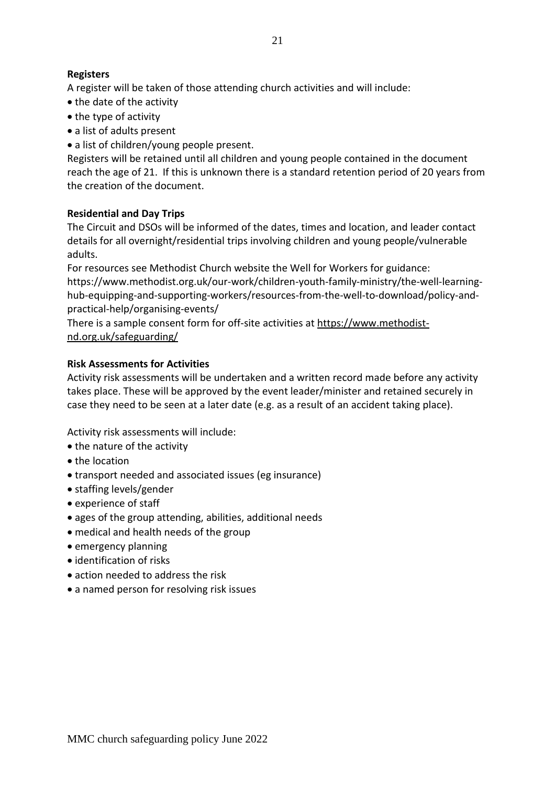#### **Registers**

A register will be taken of those attending church activities and will include:

- the date of the activity
- the type of activity
- a list of adults present
- a list of children/young people present.

Registers will be retained until all children and young people contained in the document reach the age of 21. If this is unknown there is a standard retention period of 20 years from the creation of the document.

#### **Residential and Day Trips**

The Circuit and DSOs will be informed of the dates, times and location, and leader contact details for all overnight/residential trips involving children and young people/vulnerable adults.

For resources see Methodist Church website the Well for Workers for guidance: https://www.methodist.org.uk/our-work/children-youth-family-ministry/the-well-learninghub-equipping-and-supporting-workers/resources-from-the-well-to-download/policy-andpractical-help/organising-events/

There is a sample consent form for off-site activities at [https://www.methodist](about:blank)[nd.org.uk/safeguarding/](about:blank)

#### **Risk Assessments for Activities**

Activity risk assessments will be undertaken and a written record made before any activity takes place. These will be approved by the event leader/minister and retained securely in case they need to be seen at a later date (e.g. as a result of an accident taking place).

Activity risk assessments will include:

- the nature of the activity
- the location
- transport needed and associated issues (eg insurance)
- staffing levels/gender
- experience of staff
- ages of the group attending, abilities, additional needs
- medical and health needs of the group
- emergency planning
- identification of risks
- action needed to address the risk
- a named person for resolving risk issues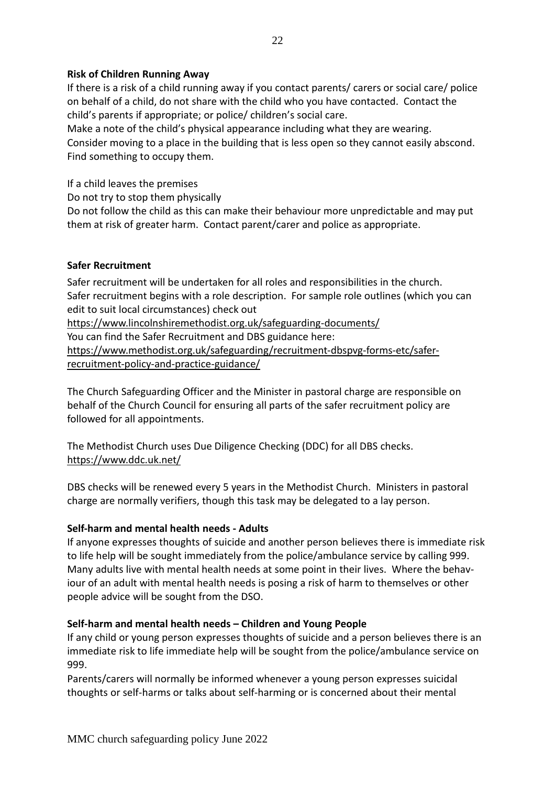#### **Risk of Children Running Away**

If there is a risk of a child running away if you contact parents/ carers or social care/ police on behalf of a child, do not share with the child who you have contacted. Contact the child's parents if appropriate; or police/ children's social care.

Make a note of the child's physical appearance including what they are wearing. Consider moving to a place in the building that is less open so they cannot easily abscond. Find something to occupy them.

If a child leaves the premises

Do not try to stop them physically

Do not follow the child as this can make their behaviour more unpredictable and may put them at risk of greater harm. Contact parent/carer and police as appropriate.

#### **Safer Recruitment**

Safer recruitment will be undertaken for all roles and responsibilities in the church. Safer recruitment begins with a role description. For sample role outlines (which you can edit to suit local circumstances) check out

[https://www.lincolnshiremethodist.org.uk/safeguarding-documents/](about:blank)

You can find the Safer Recruitment and DBS guidance here:

[https://www.methodist.org.uk/safeguarding/recruitment-dbspvg-forms-etc/safer](about:blank)[recruitment-policy-and-practice-guidance/](about:blank)

The Church Safeguarding Officer and the Minister in pastoral charge are responsible on behalf of the Church Council for ensuring all parts of the safer recruitment policy are followed for all appointments.

The Methodist Church uses Due Diligence Checking (DDC) for all DBS checks. https://www.ddc.uk.net/

DBS checks will be renewed every 5 years in the Methodist Church. Ministers in pastoral charge are normally verifiers, though this task may be delegated to a lay person.

#### **Self-harm and mental health needs - Adults**

If anyone expresses thoughts of suicide and another person believes there is immediate risk to life help will be sought immediately from the police/ambulance service by calling 999. Many adults live with mental health needs at some point in their lives. Where the behaviour of an adult with mental health needs is posing a risk of harm to themselves or other people advice will be sought from the DSO.

#### **Self-harm and mental health needs – Children and Young People**

If any child or young person expresses thoughts of suicide and a person believes there is an immediate risk to life immediate help will be sought from the police/ambulance service on 999.

Parents/carers will normally be informed whenever a young person expresses suicidal thoughts or self-harms or talks about self-harming or is concerned about their mental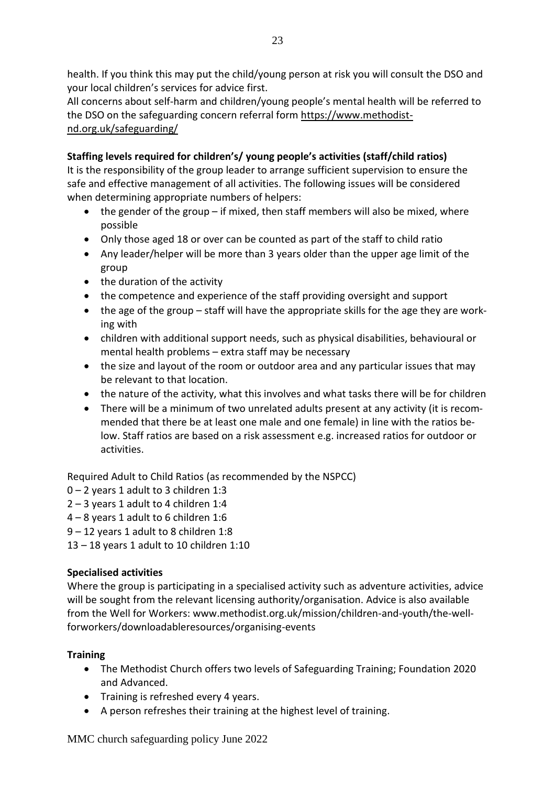health. If you think this may put the child/young person at risk you will consult the DSO and your local children's services for advice first.

All concerns about self-harm and children/young people's mental health will be referred to the DSO on the safeguarding concern referral form [https://www.methodist](about:blank)[nd.org.uk/safeguarding/](about:blank)

#### **Staffing levels required for children's/ young people's activities (staff/child ratios)**

It is the responsibility of the group leader to arrange sufficient supervision to ensure the safe and effective management of all activities. The following issues will be considered when determining appropriate numbers of helpers:

- the gender of the group if mixed, then staff members will also be mixed, where possible
- Only those aged 18 or over can be counted as part of the staff to child ratio
- Any leader/helper will be more than 3 years older than the upper age limit of the group
- the duration of the activity
- the competence and experience of the staff providing oversight and support
- the age of the group staff will have the appropriate skills for the age they are working with
- children with additional support needs, such as physical disabilities, behavioural or mental health problems – extra staff may be necessary
- the size and layout of the room or outdoor area and any particular issues that may be relevant to that location.
- the nature of the activity, what this involves and what tasks there will be for children
- There will be a minimum of two unrelated adults present at any activity (it is recommended that there be at least one male and one female) in line with the ratios below. Staff ratios are based on a risk assessment e.g. increased ratios for outdoor or activities.

Required Adult to Child Ratios (as recommended by the NSPCC)

- 0 2 years 1 adult to 3 children 1:3
- $2 3$  years 1 adult to 4 children 1:4
- 4 8 years 1 adult to 6 children 1:6
- 9 12 years 1 adult to 8 children 1:8
- 13 18 years 1 adult to 10 children 1:10

#### **Specialised activities**

Where the group is participating in a specialised activity such as adventure activities, advice will be sought from the relevant licensing authority/organisation. Advice is also available from the Well for Workers: www.methodist.org.uk/mission/children-and-youth/the-wellforworkers/downloadableresources/organising-events

#### **Training**

- The Methodist Church offers two levels of Safeguarding Training; Foundation 2020 and Advanced.
- Training is refreshed every 4 years.
- A person refreshes their training at the highest level of training.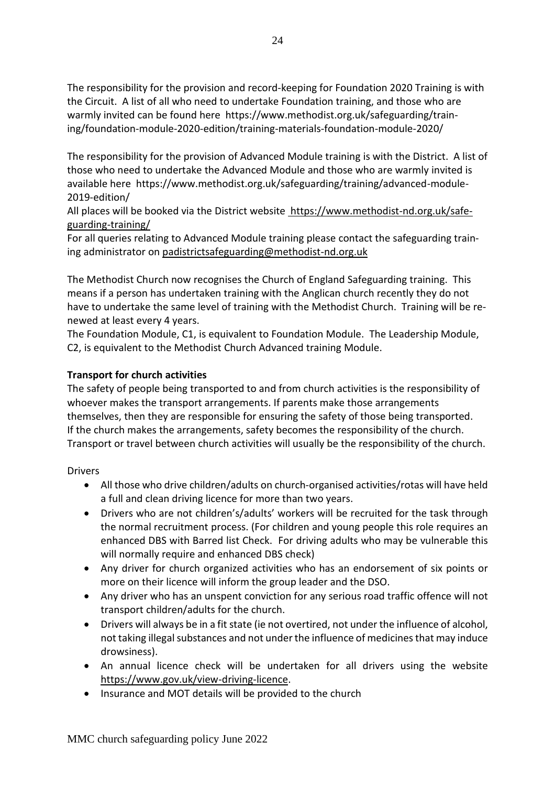The responsibility for the provision and record-keeping for Foundation 2020 Training is with the Circuit. A list of all who need to undertake Foundation training, and those who are warmly invited can be found here https://www.methodist.org.uk/safeguarding/training/foundation-module-2020-edition/training-materials-foundation-module-2020/

The responsibility for the provision of Advanced Module training is with the District. A list of those who need to undertake the Advanced Module and those who are warmly invited is available here https://www.methodist.org.uk/safeguarding/training/advanced-module-2019-edition/

All places will be booked via the District website https://www.methodist-nd.org.uk/safeguarding-training/

For all queries relating to Advanced Module training please contact the safeguarding training administrator on [padistrictsafeguarding@methodist-nd.org.uk](about:blank)

The Methodist Church now recognises the Church of England Safeguarding training. This means if a person has undertaken training with the Anglican church recently they do not have to undertake the same level of training with the Methodist Church. Training will be renewed at least every 4 years.

The Foundation Module, C1, is equivalent to Foundation Module. The Leadership Module, C2, is equivalent to the Methodist Church Advanced training Module.

#### **Transport for church activities**

The safety of people being transported to and from church activities is the responsibility of whoever makes the transport arrangements. If parents make those arrangements themselves, then they are responsible for ensuring the safety of those being transported. If the church makes the arrangements, safety becomes the responsibility of the church. Transport or travel between church activities will usually be the responsibility of the church.

Drivers

- All those who drive children/adults on church-organised activities/rotas will have held a full and clean driving licence for more than two years.
- Drivers who are not children's/adults' workers will be recruited for the task through the normal recruitment process. (For children and young people this role requires an enhanced DBS with Barred list Check. For driving adults who may be vulnerable this will normally require and enhanced DBS check)
- Any driver for church organized activities who has an endorsement of six points or more on their licence will inform the group leader and the DSO.
- Any driver who has an unspent conviction for any serious road traffic offence will not transport children/adults for the church.
- Drivers will always be in a fit state (ie not overtired, not under the influence of alcohol, not taking illegal substances and not under the influence of medicines that may induce drowsiness).
- An annual licence check will be undertaken for all drivers using the website [https://www.gov.uk/view-driving-licence.](about:blank)
- Insurance and MOT details will be provided to the church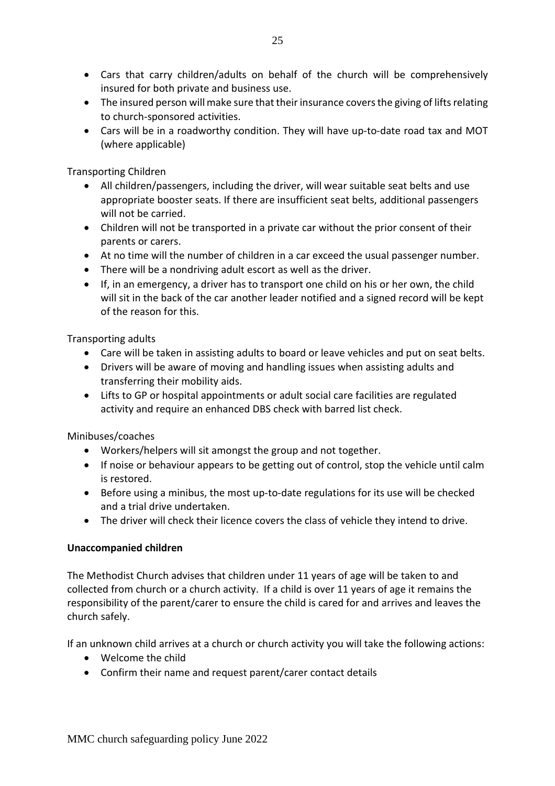- Cars that carry children/adults on behalf of the church will be comprehensively insured for both private and business use.
- The insured person will make sure that their insurance covers the giving of lifts relating to church-sponsored activities.
- Cars will be in a roadworthy condition. They will have up-to-date road tax and MOT (where applicable)

Transporting Children

- All children/passengers, including the driver, will wear suitable seat belts and use appropriate booster seats. If there are insufficient seat belts, additional passengers will not be carried.
- Children will not be transported in a private car without the prior consent of their parents or carers.
- At no time will the number of children in a car exceed the usual passenger number.
- There will be a nondriving adult escort as well as the driver.
- If, in an emergency, a driver has to transport one child on his or her own, the child will sit in the back of the car another leader notified and a signed record will be kept of the reason for this.

Transporting adults

- Care will be taken in assisting adults to board or leave vehicles and put on seat belts.
- Drivers will be aware of moving and handling issues when assisting adults and transferring their mobility aids.
- Lifts to GP or hospital appointments or adult social care facilities are regulated activity and require an enhanced DBS check with barred list check.

Minibuses/coaches

- Workers/helpers will sit amongst the group and not together.
- If noise or behaviour appears to be getting out of control, stop the vehicle until calm is restored.
- Before using a minibus, the most up-to-date regulations for its use will be checked and a trial drive undertaken.
- The driver will check their licence covers the class of vehicle they intend to drive.

#### **Unaccompanied children**

The Methodist Church advises that children under 11 years of age will be taken to and collected from church or a church activity. If a child is over 11 years of age it remains the responsibility of the parent/carer to ensure the child is cared for and arrives and leaves the church safely.

If an unknown child arrives at a church or church activity you will take the following actions:

- Welcome the child
- Confirm their name and request parent/carer contact details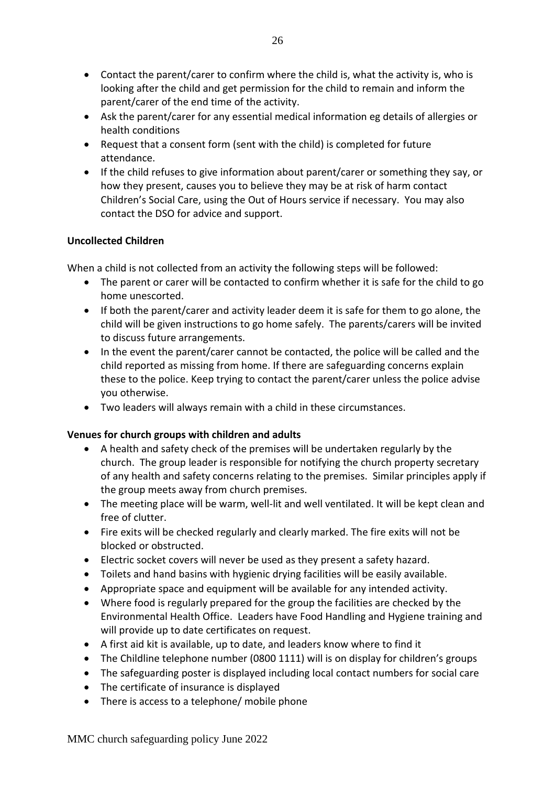- Contact the parent/carer to confirm where the child is, what the activity is, who is looking after the child and get permission for the child to remain and inform the parent/carer of the end time of the activity.
- Ask the parent/carer for any essential medical information eg details of allergies or health conditions
- Request that a consent form (sent with the child) is completed for future attendance.
- If the child refuses to give information about parent/carer or something they say, or how they present, causes you to believe they may be at risk of harm contact Children's Social Care, using the Out of Hours service if necessary. You may also contact the DSO for advice and support.

#### **Uncollected Children**

When a child is not collected from an activity the following steps will be followed:

- The parent or carer will be contacted to confirm whether it is safe for the child to go home unescorted.
- If both the parent/carer and activity leader deem it is safe for them to go alone, the child will be given instructions to go home safely. The parents/carers will be invited to discuss future arrangements.
- In the event the parent/carer cannot be contacted, the police will be called and the child reported as missing from home. If there are safeguarding concerns explain these to the police. Keep trying to contact the parent/carer unless the police advise you otherwise.
- Two leaders will always remain with a child in these circumstances.

#### **Venues for church groups with children and adults**

- A health and safety check of the premises will be undertaken regularly by the church. The group leader is responsible for notifying the church property secretary of any health and safety concerns relating to the premises. Similar principles apply if the group meets away from church premises.
- The meeting place will be warm, well-lit and well ventilated. It will be kept clean and free of clutter.
- Fire exits will be checked regularly and clearly marked. The fire exits will not be blocked or obstructed.
- Electric socket covers will never be used as they present a safety hazard.
- Toilets and hand basins with hygienic drying facilities will be easily available.
- Appropriate space and equipment will be available for any intended activity.
- Where food is regularly prepared for the group the facilities are checked by the Environmental Health Office. Leaders have Food Handling and Hygiene training and will provide up to date certificates on request.
- A first aid kit is available, up to date, and leaders know where to find it
- The Childline telephone number (0800 1111) will is on display for children's groups
- The safeguarding poster is displayed including local contact numbers for social care
- The certificate of insurance is displayed
- There is access to a telephone/ mobile phone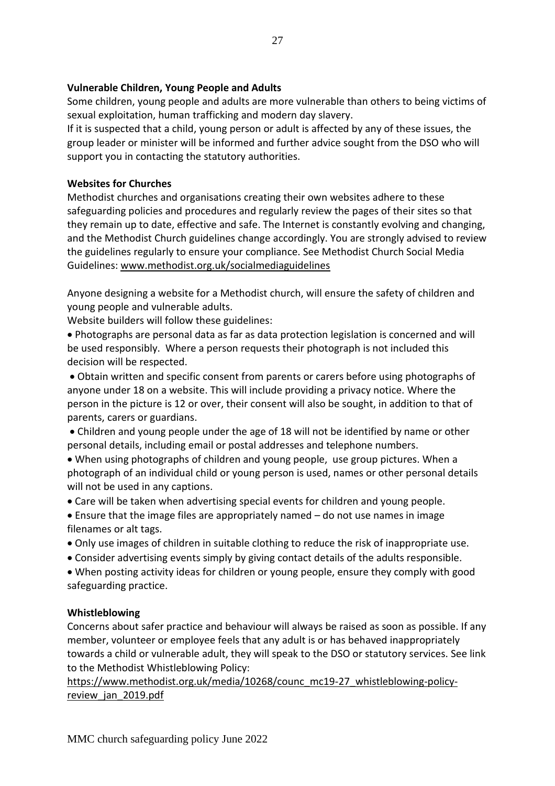#### **Vulnerable Children, Young People and Adults**

Some children, young people and adults are more vulnerable than others to being victims of sexual exploitation, human trafficking and modern day slavery.

If it is suspected that a child, young person or adult is affected by any of these issues, the group leader or minister will be informed and further advice sought from the DSO who will support you in contacting the statutory authorities.

#### **Websites for Churches**

Methodist churches and organisations creating their own websites adhere to these safeguarding policies and procedures and regularly review the pages of their sites so that they remain up to date, effective and safe. The Internet is constantly evolving and changing, and the Methodist Church guidelines change accordingly. You are strongly advised to review the guidelines regularly to ensure your compliance. See Methodist Church Social Media Guidelines: [www.methodist.org.uk/socialmediaguidelines](about:blank)

Anyone designing a website for a Methodist church, will ensure the safety of children and young people and vulnerable adults.

Website builders will follow these guidelines:

• Photographs are personal data as far as data protection legislation is concerned and will be used responsibly. Where a person requests their photograph is not included this decision will be respected.

• Obtain written and specific consent from parents or carers before using photographs of anyone under 18 on a website. This will include providing a privacy notice. Where the person in the picture is 12 or over, their consent will also be sought, in addition to that of parents, carers or guardians.

- Children and young people under the age of 18 will not be identified by name or other personal details, including email or postal addresses and telephone numbers.
- When using photographs of children and young people, use group pictures. When a photograph of an individual child or young person is used, names or other personal details will not be used in any captions.
- Care will be taken when advertising special events for children and young people.
- Ensure that the image files are appropriately named do not use names in image filenames or alt tags.
- Only use images of children in suitable clothing to reduce the risk of inappropriate use.
- Consider advertising events simply by giving contact details of the adults responsible.
- When posting activity ideas for children or young people, ensure they comply with good safeguarding practice.

#### **Whistleblowing**

Concerns about safer practice and behaviour will always be raised as soon as possible. If any member, volunteer or employee feels that any adult is or has behaved inappropriately towards a child or vulnerable adult, they will speak to the DSO or statutory services. See link to the Methodist Whistleblowing Policy:

[https://www.methodist.org.uk/media/10268/counc\\_mc19-27\\_whistleblowing-policy](about:blank)review jan 2019.pdf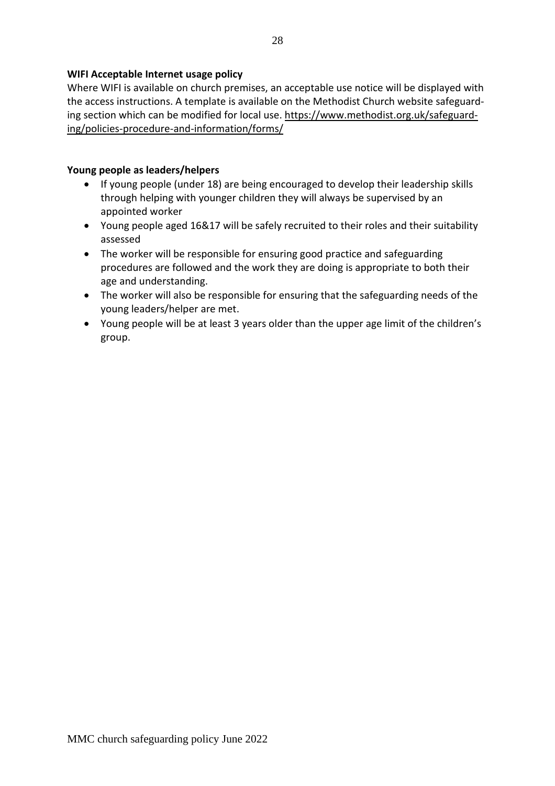#### **WIFI Acceptable Internet usage policy**

Where WIFI is available on church premises, an acceptable use notice will be displayed with the access instructions. A template is available on the Methodist Church website safeguarding section which can be modified for local use. [https://www.methodist.org.uk/safeguard](about:blank)[ing/policies-procedure-and-information/forms/](about:blank)

#### **Young people as leaders/helpers**

- If young people (under 18) are being encouraged to develop their leadership skills through helping with younger children they will always be supervised by an appointed worker
- Young people aged 16&17 will be safely recruited to their roles and their suitability assessed
- The worker will be responsible for ensuring good practice and safeguarding procedures are followed and the work they are doing is appropriate to both their age and understanding.
- The worker will also be responsible for ensuring that the safeguarding needs of the young leaders/helper are met.
- Young people will be at least 3 years older than the upper age limit of the children's group.